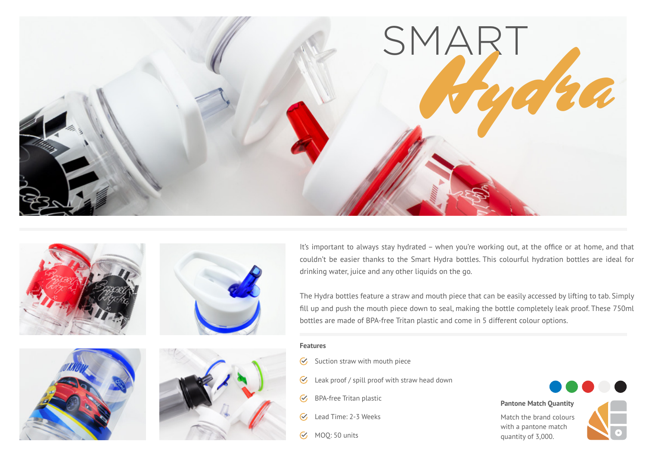









It's important to always stay hydrated – when you're working out, at the office or at home, and that couldn't be easier thanks to the Smart Hydra bottles. This colourful hydration bottles are ideal for drinking water, juice and any other liquids on the go.

The Hydra bottles feature a straw and mouth piece that can be easily accessed by lifting to tab. Simply fill up and push the mouth piece down to seal, making the bottle completely leak proof. These 750ml bottles are made of BPA-free Tritan plastic and come in 5 different colour options.

### **Features**

- $\mathcal G$  Suction straw with mouth piece
- Leak proof / spill proof with straw head down  $\infty$
- BPA-free Tritan plastic  $\infty$
- $\mathcal{C}_{I}$ Lead Time: 2-3 Weeks
- $\odot$  MOQ: 50 units



## **Pantone Match Quantity**

Match the brand colours with a pantone match quantity of 3,000.